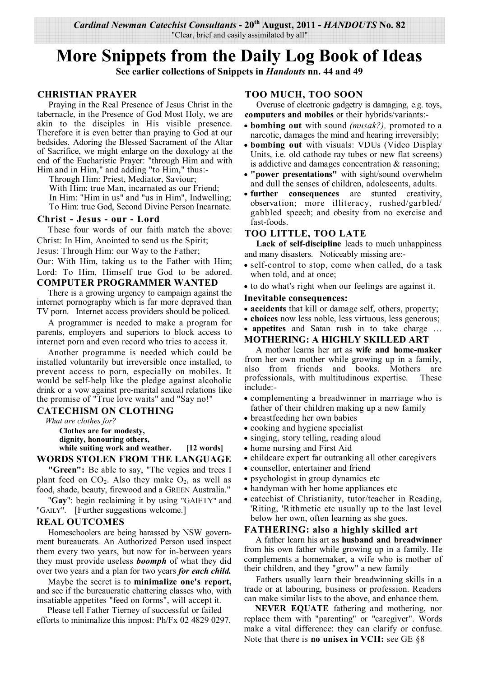## **More Snippets from the Daily Log Book of Ideas**

**See earlier collections of Snippets in** *Handouts* **nn. 44 and 49** 

## **CHRISTIAN PRAYER**

Praying in the Real Presence of Jesus Christ in the tabernacle, in the Presence of God Most Holy, we are akin to the disciples in His visible presence. Therefore it is even better than praying to God at our bedsides. Adoring the Blessed Sacrament of the Altar of Sacrifice, we might enlarge on the doxology at the end of the Eucharistic Prayer: "through Him and with Him and in Him," and adding "to Him," thus:-

Through Him: Priest, Mediator, Saviour; With Him: true Man, incarnated as our Friend; In Him: "Him in us" and "us in Him", Indwelling; To Him: true God, Second Divine Person Incarnate.

### **Christ - Jesus - our - Lord**

These four words of our faith match the above: Christ: In Him, Anointed to send us the Spirit;

Jesus: Through Him: our Way to the Father;

Our: With Him, taking us to the Father with Him; Lord: To Him, Himself true God to be adored. **COMPUTER PROGRAMMER WANTED**

There is a growing urgency to campaign against the internet pornography which is far more depraved than TV porn. Internet access providers should be policed.

A programmer is needed to make a program for parents, employers and superiors to block access to internet porn and even record who tries to access it.

Another programme is needed which could be installed voluntarily but irreversible once installed, to prevent access to porn, especially on mobiles. It would be self-help like the pledge against alcoholic drink or a vow against pre-marital sexual relations like the promise of "True love waits" and "Say no!"

## **CATECHISM ON CLOTHING**

*What are clothes for?*

**Clothes are for modesty, dignity, honouring others,**

**while suiting work and weather. [12 words] WORDS STOLEN FROM THE LANGUAGE**

**"Green":** Be able to say, "The vegies and trees I plant feed on  $CO<sub>2</sub>$ . Also they make  $O<sub>2</sub>$ , as well as food, shade, beauty, firewood and a GREEN Australia."

"**Gay**": begin reclaiming it by using "GAIETY" and "GAILY". [Further suggestions welcome.]

## **REAL OUTCOMES**

Homeschoolers are being harassed by NSW government bureaucrats. An Authorized Person used inspect them every two years, but now for in-between years they must provide useless *boomph* of what they did over two years and a plan for two years *for each child.*

Maybe the secret is to **minimalize one's report,**  and see if the bureaucratic chattering classes who, with insatiable appetites "feed on forms", will accept it.

Please tell Father Tierney of successful or failed efforts to minimalize this impost: Ph/Fx 02 4829 0297.

## **TOO MUCH, TOO SOON**

Overuse of electronic gadgetry is damaging, e.g. toys, **computers and mobiles** or their hybrids/variants:-

- **bombing out** with sound *(musak?),* promoted to a narcotic, damages the mind and hearing irreversibly;
- **bombing out** with visuals: VDUs (Video Display Units, i.e. old cathode ray tubes or new flat screens) is addictive and damages concentration & reasoning;
- **"power presentations"** with sight/sound overwhelm and dull the senses of children, adolescents, adults.
- **further consequences** are stunted creativity, observation; more illiteracy, rushed/garbled/ gabbled speech; and obesity from no exercise and fast-foods.

## **TOO LITTLE, TOO LATE**

**Lack of self-discipline** leads to much unhappiness and many disasters. Noticeably missing are:-

- self-control to stop, come when called, do a task when told, and at once;
- to do what's right when our feelings are against it.

#### **Inevitable consequences:**

- **accidents** that kill or damage self, others, property;
- **choices** now less noble, less virtuous, less generous;
- **appetites** and Satan rush in to take charge …

## **MOTHERING: A HIGHLY SKILLED ART**

A mother learns her art as **wife and home-maker**  from her own mother while growing up in a family, also from friends and books. Mothers are professionals, with multitudinous expertise. These include:-

- complementing a breadwinner in marriage who is father of their children making up a new family
- breastfeeding her own babies
- cooking and hygiene specialist
- singing, story telling, reading aloud
- home nursing and First Aid
- childcare expert far outranking all other caregivers
- counsellor, entertainer and friend
- psychologist in group dynamics etc
- handyman with her home appliances etc
- catechist of Christianity, tutor/teacher in Reading, 'Riting, 'Rithmetic etc usually up to the last level below her own, often learning as she goes.

## **FATHERING: also a highly skilled art**

A father learn his art as **husband and breadwinner**  from his own father while growing up in a family. He complements a homemaker, a wife who is mother of their children, and they "grow" a new family

Fathers usually learn their breadwinning skills in a trade or at labouring, business or profession. Readers can make similar lists to the above, and enhance them.

 **NEVER EQUATE** fathering and mothering, nor replace them with "parenting" or "caregiver". Words make a vital difference: they can clarify or confuse. Note that there is **no unisex in VCII:** see GE §8